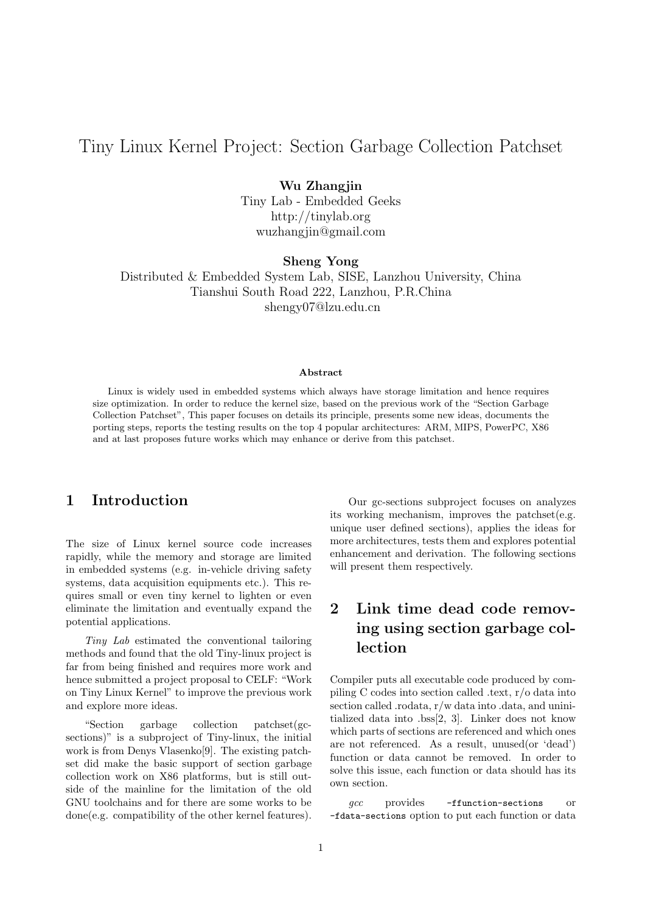# Tiny Linux Kernel Project: Section Garbage Collection Patchset

#### Wu Zhangjin

Tiny Lab - Embedded Geeks http://tinylab.org wuzhangjin@gmail.com

Sheng Yong

Distributed & Embedded System Lab, SISE, Lanzhou University, China Tianshui South Road 222, Lanzhou, P.R.China shengy07@lzu.edu.cn

#### Abstract

Linux is widely used in embedded systems which always have storage limitation and hence requires size optimization. In order to reduce the kernel size, based on the previous work of the "Section Garbage Collection Patchset", This paper focuses on details its principle, presents some new ideas, documents the porting steps, reports the testing results on the top 4 popular architectures: ARM, MIPS, PowerPC, X86 and at last proposes future works which may enhance or derive from this patchset.

## 1 Introduction

The size of Linux kernel source code increases rapidly, while the memory and storage are limited in embedded systems (e.g. in-vehicle driving safety systems, data acquisition equipments etc.). This requires small or even tiny kernel to lighten or even eliminate the limitation and eventually expand the potential applications.

Tiny Lab estimated the conventional tailoring methods and found that the old Tiny-linux project is far from being finished and requires more work and hence submitted a project proposal to CELF: "Work on Tiny Linux Kernel" to improve the previous work and explore more ideas.

"Section garbage collection patchset(gcsections)" is a subproject of Tiny-linux, the initial work is from Denys Vlasenko[9]. The existing patchset did make the basic support of section garbage collection work on X86 platforms, but is still outside of the mainline for the limitation of the old GNU toolchains and for there are some works to be done(e.g. compatibility of the other kernel features).

Our gc-sections subproject focuses on analyzes its working mechanism, improves the patchset(e.g. unique user defined sections), applies the ideas for more architectures, tests them and explores potential enhancement and derivation. The following sections will present them respectively.

# 2 Link time dead code removing using section garbage col**lection**

Compiler puts all executable code produced by compiling C codes into section called .text, r/o data into section called .rodata, r/w data into .data, and uninitialized data into .bss[2, 3]. Linker does not know which parts of sections are referenced and which ones are not referenced. As a result, unused(or 'dead') function or data cannot be removed. In order to solve this issue, each function or data should has its own section.

acc provides -ffunction-sections or -fdata-sections option to put each function or data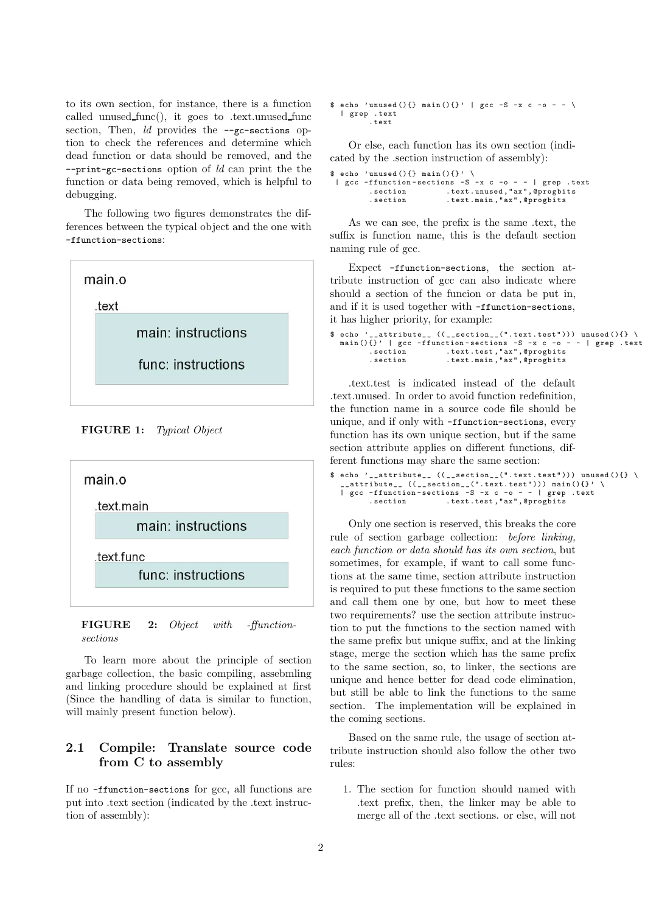to its own section, for instance, there is a function called unused func(), it goes to .text.unused func section, Then, *ld* provides the --gc-sections option to check the references and determine which dead function or data should be removed, and the  $--print-gc-sections$  option of  $ld$  can print the the function or data being removed, which is helpful to debugging.

The following two figures demonstrates the differences between the typical object and the one with -ffunction-sections:



FIGURE 1: Typical Object



FIGURE 2: Object with -ffunctionsections

To learn more about the principle of section garbage collection, the basic compiling, assebmling and linking procedure should be explained at first (Since the handling of data is similar to function, will mainly present function below).

### 2.1 Compile: Translate source code from C to assembly

If no -ffunction-sections for gcc, all functions are put into .text section (indicated by the .text instruction of assembly):

```
\text{\$ echo 'unused(){} main (){}' | gcc -S -x c -o - - \
  | grep . text
          . text
```
Or else, each function has its own section (indicated by the .section instruction of assembly):

```
\ echo 'unused () { } main () { } '
| gcc - ffunction - sections -S -x c -o - - | grep . text
       ection .text.unused,"ax", @progbits
        . section . text.main, "ax", @progbits
```
As we can see, the prefix is the same .text, the suffix is function name, this is the default section naming rule of gcc.

Expect -ffunction-sections, the section attribute instruction of gcc can also indicate where should a section of the funcion or data be put in, and if it is used together with -ffunction-sections, it has higher priority, for example:

```
\ echo '__attribute__ ((__section__(".text.test"))) unused(){} \
   main(){}' | gcc -ffunction-sections -S -x c -o - - | grep .text<br>section .text.test,"ax",@progbits .section .text.main,"ax",@progbits
```
.text.test is indicated instead of the default .text.unused. In order to avoid function redefinition, the function name in a source code file should be unique, and if only with -ffunction-sections, every function has its own unique section, but if the same section attribute applies on different functions, different functions may share the same section:

```
\text{\$ echo } ' \_ \text{\_} attribute \_ \ \ ( \ ( \_ \text{\_} section \_ \ \ (".text{\_} text.test")) \ ) \ \text{\_} used(){} \__attribute__ (( __section__(". text . test " ))) main (){} ' \
   | gcc -ffunction-sections -S -x c -o - - | grep .text<br>| gcc -ffunction-sections -S -x c -o - - | grep .text.<br>| text.test,"ax",@progbits
                                            . text. test, "ax", @progbits
```
Only one section is reserved, this breaks the core rule of section garbage collection: before linking, each function or data should has its own section, but sometimes, for example, if want to call some functions at the same time, section attribute instruction is required to put these functions to the same section and call them one by one, but how to meet these two requirements? use the section attribute instruction to put the functions to the section named with the same prefix but unique suffix, and at the linking stage, merge the section which has the same prefix to the same section, so, to linker, the sections are unique and hence better for dead code elimination, but still be able to link the functions to the same section. The implementation will be explained in the coming sections.

Based on the same rule, the usage of section attribute instruction should also follow the other two rules:

1. The section for function should named with .text prefix, then, the linker may be able to merge all of the .text sections. or else, will not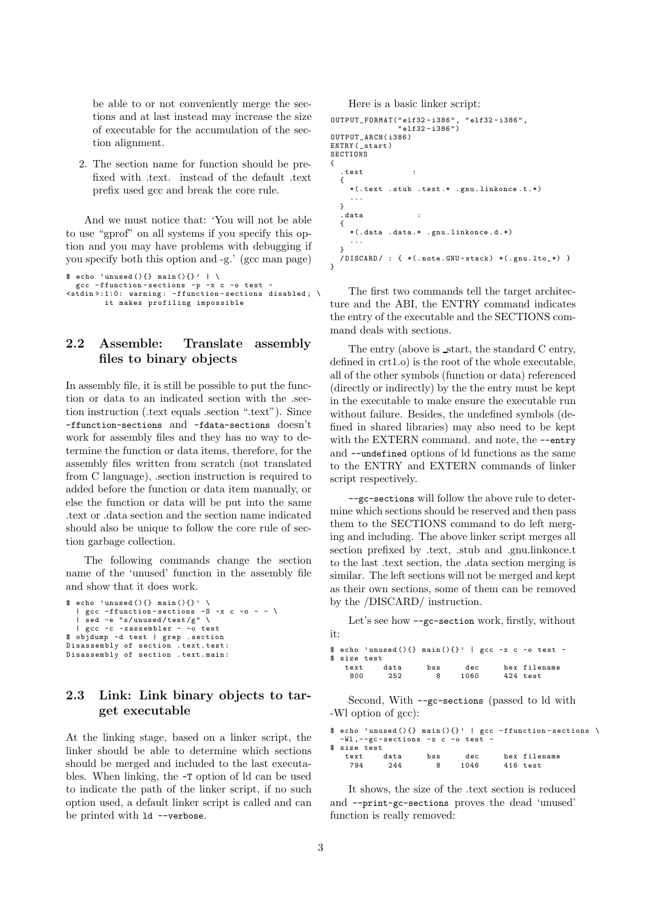be able to or not conveniently merge the sections and at last instead may increase the size of executable for the accumulation of the section alignment.

2. The section name for function should be prefixed with .text. instead of the default .text prefix used gcc and break the core rule.

And we must notice that: 'You will not be able to use "gprof" on all systems if you specify this option and you may have problems with debugging if you specify both this option and -g.' (gcc man page)

```
$ echo 'unused(){} a in(){}' \gcc - ffunction - sections -p -x c -o test -
\leqstdin >:1:0: warning: -ffunction-sections disabled; \
        it makes profiling impossible
```
### 2.2 Assemble: Translate assembly files to binary objects

In assembly file, it is still be possible to put the function or data to an indicated section with the .section instruction (.text equals .section ".text"). Since -ffunction-sections and -fdata-sections doesn't work for assembly files and they has no way to determine the function or data items, therefore, for the assembly files written from scratch (not translated from C language), .section instruction is required to added before the function or data item manually, or else the function or data will be put into the same .text or .data section and the section name indicated should also be unique to follow the core rule of section garbage collection.

The following commands change the section name of the 'unused' function in the assembly file and show that it does work.

```
$ echo 'unused(){} and <math>main(){}
   | gcc - ffunction - sections -S -x c -o - - \
| sed -e "s/ unused / test /g" \
   | gcc -c - xassembler - -o test
$ objdump -d test | grep . section
Disassembly of section . text . test :
Disassembly of section . text . main :
```
### 2.3 Link: Link binary objects to target executable

At the linking stage, based on a linker script, the linker should be able to determine which sections should be merged and included to the last executables. When linking, the -T option of ld can be used to indicate the path of the linker script, if no such option used, a default linker script is called and can be printed with ld --verbose.

Here is a basic linker script:

```
OUTPUT_FORMAT(" elf32 - i386 " , " elf32 - i386 " ,
                 " elf32 - i386 ")
OUTPUT_ARCH( i386 )
ENTRY (_start)
SECTIONS
{
  . text :
  {
     *(. text . stub . text .* . gnu . linkonce .t .*)
     ...
  }
   . data :
  {
     *(. data . data .* . gnu. linkonce .d .*)
     ...
  }
  /DISCARD/ : { *(.note.GNU-stack) *(.gnu.lto_*) }
\mathbf{r}
```
The first two commands tell the target architecture and the ABI, the ENTRY command indicates the entry of the executable and the SECTIONS command deals with sections.

The entry (above is start, the standard C entry, defined in crt1.o) is the root of the whole executable, all of the other symbols (function or data) referenced (directly or indirectly) by the the entry must be kept in the executable to make ensure the executable run without failure. Besides, the undefined symbols (defined in shared libraries) may also need to be kept with the EXTERN command. and note, the --entry and --undefined options of ld functions as the same to the ENTRY and EXTERN commands of linker script respectively.

--gc-sections will follow the above rule to determine which sections should be reserved and then pass them to the SECTIONS command to do left merging and including. The above linker script merges all section prefixed by .text, .stub and .gnu.linkonce.t to the last .text section, the .data section merging is similar. The left sections will not be merged and kept as their own sections, some of them can be removed by the /DISCARD/ instruction.

Let's see how --gc-section work, firstly, without it:

| \$ size test | \$ echo 'unused(){} main(){}'   gcc -x c -o test - |     |      |              |
|--------------|----------------------------------------------------|-----|------|--------------|
| text         | data                                               | bss | dec  | hex filename |
| 800          | 252                                                | 8   | 1060 | 424 test     |

Second, With --gc-sections (passed to ld with -Wl option of gcc):

|              |                                      |     |      | \$ echo 'unused(){} main(){}'   gcc -ffunction-sections \ |  |
|--------------|--------------------------------------|-----|------|-----------------------------------------------------------|--|
|              | $-W1$ , --gc-sections -x c -o test - |     |      |                                                           |  |
| \$ size test |                                      |     |      |                                                           |  |
| text         | data                                 | bss | dec  | hex filename                                              |  |
| 794          | 244                                  | 8   | 1046 | 416 test                                                  |  |

It shows, the size of the .text section is reduced and --print-gc-sections proves the dead 'unused' function is really removed: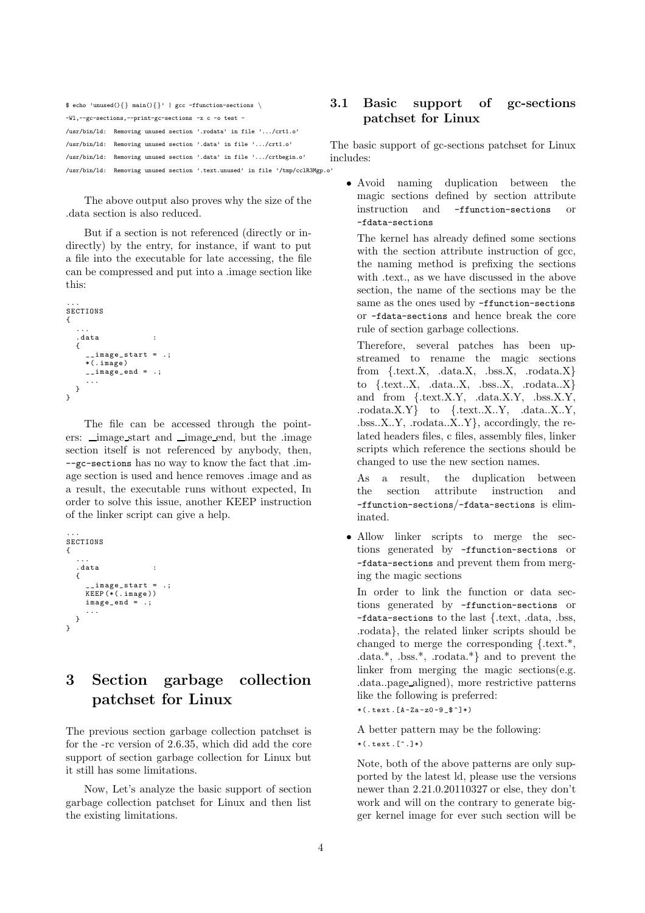| \$ echo 'unused(){} main(){}'   gcc -ffunction-sections \                     | 3. |
|-------------------------------------------------------------------------------|----|
| -Wl,--gc-sections,--print-gc-sections -x c -o test -                          |    |
| /usr/bin/ld: Removing unused section '.rodata' in file '/crt1.o'              |    |
| /usr/bin/ld: Removing unused section '.data' in file '/crt1.o'                | ፐዝ |
| /usr/bin/ld: Removing unused section '.data' in file '/crtbegin.o'            | in |
| /usr/bin/ld: Removing unused section '.text.unused' in file '/tmp/cclR3Mgp.o' |    |

The above output also proves why the size of the .data section is also reduced.

But if a section is not referenced (directly or indirectly) by the entry, for instance, if want to put a file into the executable for late accessing, the file can be compressed and put into a .image section like this:

```
...
SECTIONS
{
   ...
   . data :
   {
        __image_start = .;
     *(. image )
     \frac{1}{2} image end = .;
     ...
  }
}
```
The file can be accessed through the pointers: image start and image end, but the .image section itself is not referenced by anybody, then, --gc-sections has no way to know the fact that .image section is used and hence removes .image and as a result, the executable runs without expected, In order to solve this issue, another KEEP instruction of the linker script can give a help.

```
...
SECTIONS
{
   ...
   det{
      __image_start = .;
KEEP (*(. image ))
      image_end = .;
      ...
  }
}
```
# 3 Section garbage collection patchset for Linux

The previous section garbage collection patchset is for the -rc version of 2.6.35, which did add the core support of section garbage collection for Linux but it still has some limitations.

Now, Let's analyze the basic support of section garbage collection patchset for Linux and then list the existing limitations.

### 3.1 Basic support of gc-sections patchset for Linux

The basic support of gc-sections patchset for Linux cludes<sup>.</sup>

• Avoid naming duplication between the magic sections defined by section attribute instruction and -ffunction-sections or -fdata-sections

The kernel has already defined some sections with the section attribute instruction of gcc, the naming method is prefixing the sections with .text., as we have discussed in the above section, the name of the sections may be the same as the ones used by -ffunction-sections or -fdata-sections and hence break the core rule of section garbage collections.

Therefore, several patches has been upstreamed to rename the magic sections from  ${.text.X, data.X, .bss.X, .rodata.X}$ to {.text..X, .data..X, .bss..X, .rodata..X} and from {.text.X.Y, .data.X.Y, .bss.X.Y, .rodata.X.Y} to {.text..X..Y, .data..X..Y, .bss..X..Y, .rodata..X..Y}, accordingly, the related headers files, c files, assembly files, linker scripts which reference the sections should be changed to use the new section names.

As a result, the duplication between the section attribute instruction and -ffunction-sections/-fdata-sections is eliminated.

• Allow linker scripts to merge the sections generated by -ffunction-sections or -fdata-sections and prevent them from merging the magic sections

In order to link the function or data sections generated by -ffunction-sections or -fdata-sections to the last {.text, .data, .bss, .rodata}, the related linker scripts should be changed to merge the corresponding {.text.\*, .data.\*, .bss.\*, .rodata.\*} and to prevent the linker from merging the magic sections(e.g. .data..page aligned), more restrictive patterns like the following is preferred:

 $*(.\texttt{text} .[A-Za-z0-9_8^+]*)$ 

A better pattern may be the following:  $*(. text.[^].)*)$ 

Note, both of the above patterns are only supported by the latest ld, please use the versions newer than 2.21.0.20110327 or else, they don't work and will on the contrary to generate bigger kernel image for ever such section will be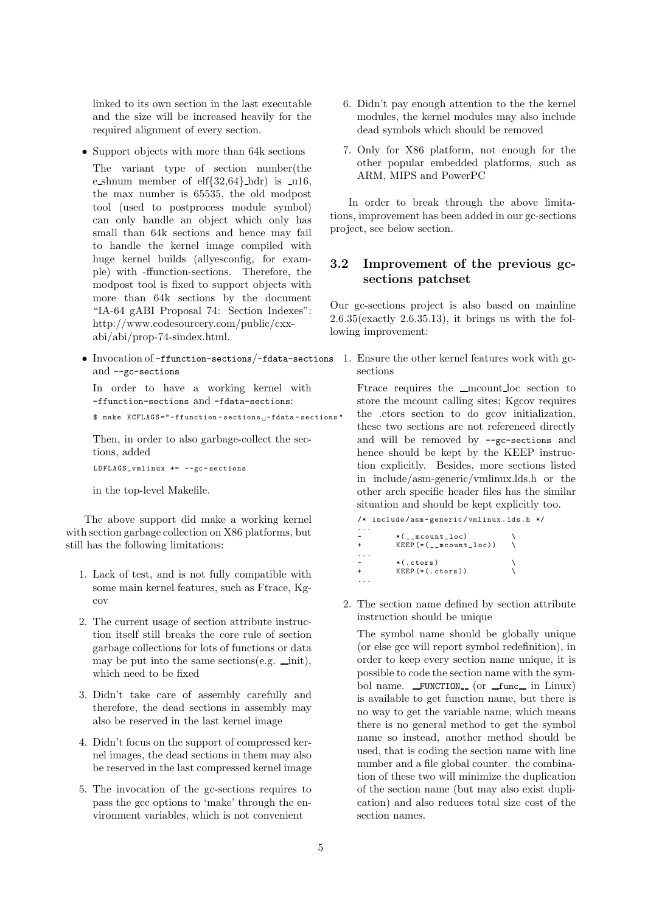linked to its own section in the last executable and the size will be increased heavily for the required alignment of every section.

• Support objects with more than 64k sections

The variant type of section number(the e shnum member of  $\text{elf}\{32,64\}$  hdr) is  $\text{ul}\{6,$ the max number is 65535, the old modpost tool (used to postprocess module symbol) can only handle an object which only has small than 64k sections and hence may fail to handle the kernel image compiled with huge kernel builds (allyesconfig, for example) with -ffunction-sections. Therefore, the modpost tool is fixed to support objects with more than 64k sections by the document "IA-64 gABI Proposal 74: Section Indexes": http://www.codesourcery.com/public/cxxabi/abi/prop-74-sindex.html.

• Invocation of -ffunction-sections/-fdata-sections 1. Ensure the other kernel features work with gcand --gc-sections

In order to have a working kernel with -ffunction-sections and -fdata-sections:

\$ make KCFLAGS="-ffunction-sections<sub>11</sub>-fdata-sections"

Then, in order to also garbage-collect the sections, added LDFLAGS\_vmlinux += --gc - sections

in the top-level Makefile.

The above support did make a working kernel with section garbage collection on X86 platforms, but still has the following limitations:

- 1. Lack of test, and is not fully compatible with some main kernel features, such as Ftrace, Kgcov
- 2. The current usage of section attribute instruction itself still breaks the core rule of section garbage collections for lots of functions or data may be put into the same sections (e.g.  $\text{__init}$ ), which need to be fixed
- 3. Didn't take care of assembly carefully and therefore, the dead sections in assembly may also be reserved in the last kernel image
- 4. Didn't focus on the support of compressed kernel images, the dead sections in them may also be reserved in the last compressed kernel image
- 5. The invocation of the gc-sections requires to pass the gcc options to 'make' through the environment variables, which is not convenient
- 6. Didn't pay enough attention to the the kernel modules, the kernel modules may also include dead symbols which should be removed
- 7. Only for X86 platform, not enough for the other popular embedded platforms, such as ARM, MIPS and PowerPC

In order to break through the above limitations, improvement has been added in our gc-sections project, see below section.

#### 3.2 Improvement of the previous gcsections patchset

Our gc-sections project is also based on mainline 2.6.35(exactly 2.6.35.13), it brings us with the following improvement:

sections

Ftrace requires the <u>mcount loc</u> section to store the mcount calling sites; Kgcov requires the .ctors section to do gcov initialization, these two sections are not referenced directly and will be removed by --gc-sections and hence should be kept by the KEEP instruction explicitly. Besides, more sections listed in include/asm-generic/vmlinux.lds.h or the other arch specific header files has the similar situation and should be kept explicitly too.

| /* include/asm-generic/vmlinux.lds.h */ |  |
|-----------------------------------------|--|
|                                         |  |
| *( mcount loc)                          |  |
| $KEEP$ $(*$ (mcount loc))               |  |
|                                         |  |
| $*(.ctors)$                             |  |
| $KEEP$ $(*(.ctors))$                    |  |
|                                         |  |

2. The section name defined by section attribute instruction should be unique

The symbol name should be globally unique (or else gcc will report symbol redefinition), in order to keep every section name unique, it is possible to code the section name with the symbol name.  $_F$ UNCTION<sub>-</sub> (or  $_f$ unc in Linux) is available to get function name, but there is no way to get the variable name, which means there is no general method to get the symbol name so instead, another method should be used, that is coding the section name with line number and a file global counter. the combination of these two will minimize the duplication of the section name (but may also exist duplication) and also reduces total size cost of the section names.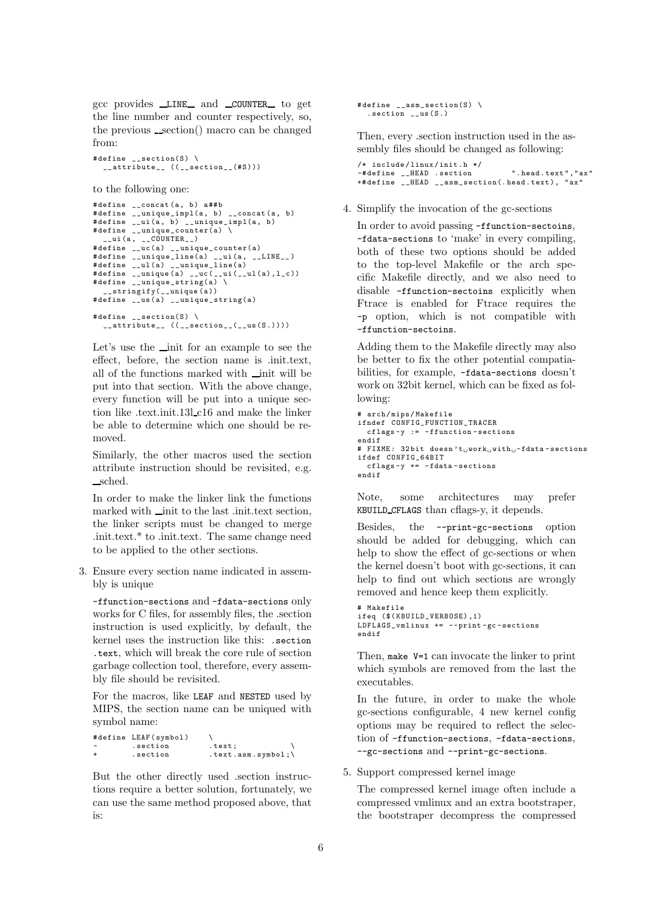gcc provides LINE and COUNTER to get the line number and counter respectively, so, the previous  $\_section()$  macro can be changed from:

# define  $\angle$  \_ section(S) \  $\frac{1}{2}$  attribute<sub>--</sub> (( $\frac{1}{2}$  section<sub>--</sub>(# S )))

```
to the following one:
```

```
#define __concat (a, b) a##b
# define __unique_impl(a , b) __concat (a , b)
# define __ui (a , b) __unique_impl(a , b)
# define __unique_counter(a) \
   _{--}ui (a, _{--}COUNTER_{--})
# define __uc (a) __unique_counter(a)
# define __unique_line(a) __ui (a , __LINE__ )
# define __ul (a) __unique_line(a)
# define __unique (a) __uc ( __ui ( __ul (a), l_c ))
# define __unique_string(a) \
    __stringify( __unique (a ))
# define __us(a) __unique_string(a)
# define \angle _ section(S) \
  __attribute__ (( __section__( __us (S .))))
```
Let's use the *init* for an example to see the effect, before, the section name is .init.text, all of the functions marked with  $\_\mathit{init}$  will be put into that section. With the above change, every function will be put into a unique section like .text.init.13l c16 and make the linker be able to determine which one should be removed.

Similarly, the other macros used the section attribute instruction should be revisited, e.g. sched.

In order to make the linker link the functions marked with  $\_\mathit{init}$  to the last .init.text section, the linker scripts must be changed to merge .init.text.\* to .init.text. The same change need to be applied to the other sections.

3. Ensure every section name indicated in assembly is unique

-ffunction-sections and -fdata-sections only works for C files, for assembly files, the .section instruction is used explicitly, by default, the kernel uses the instruction like this: .section .text, which will break the core rule of section garbage collection tool, therefore, every assembly file should be revisited.

For the macros, like LEAF and NESTED used by MIPS, the section name can be uniqued with symbol name:

```
# define LEAF ( symbol )
- . section . text;<br>+ . section . text.
                               \cdot text. asm . symbol ; \
```
But the other directly used .section instructions require a better solution, fortunately, we can use the same method proposed above, that is:

```
# define _{2} asm _ section(S) \
  . section __us (S .)
```
Then, every .section instruction used in the assembly files should be changed as following:

/\* include / linux / init .h \*/ .<br>-#define \_\_HEAD .section ".head.text","ax" +# define \_\_HEAD \_\_asm\_section(. head . text ), " ax "

4. Simplify the invocation of the gc-sections

In order to avoid passing -ffunction-sectoins, -fdata-sections to 'make' in every compiling, both of these two options should be added to the top-level Makefile or the arch specific Makefile directly, and we also need to disable -ffunction-sectoins explicitly when Ftrace is enabled for Ftrace requires the -p option, which is not compatible with -ffunction-sectoins.

Adding them to the Makefile directly may also be better to fix the other potential compatiabilities, for example, -fdata-sections doesn't work on 32bit kernel, which can be fixed as following:

```
# arch / mips / Makefile
ifndef CONFIG_FUNCTION_TRACER
  cflags -y := - ffunction - sections
endif
# FIXME: 32bit doesn't<sub>u</sub>work<sub>u</sub>with<sub>u</sub>-fdata-sections
ifdef CONFIG_64BIT
  cflags -y += - fdata - sections
endif
```
Note, some architectures may prefer KBUILD CFLAGS than cflags-y, it depends.

Besides, the --print-gc-sections option should be added for debugging, which can help to show the effect of gc-sections or when the kernel doesn't boot with gc-sections, it can help to find out which sections are wrongly removed and hence keep them explicitly.

```
# Makefile
ifeq ($( KBUILD_VERBOSE) ,1)
LDFLAGS_vmlinux += -- print -gc - sections
endif
```
Then, make V=1 can invocate the linker to print which symbols are removed from the last the executables.

In the future, in order to make the whole gc-sections configurable, 4 new kernel config options may be required to reflect the selection of -ffunction-sections, -fdata-sections, --gc-sections and --print-gc-sections.

5. Support compressed kernel image

The compressed kernel image often include a compressed vmlinux and an extra bootstraper, the bootstraper decompress the compressed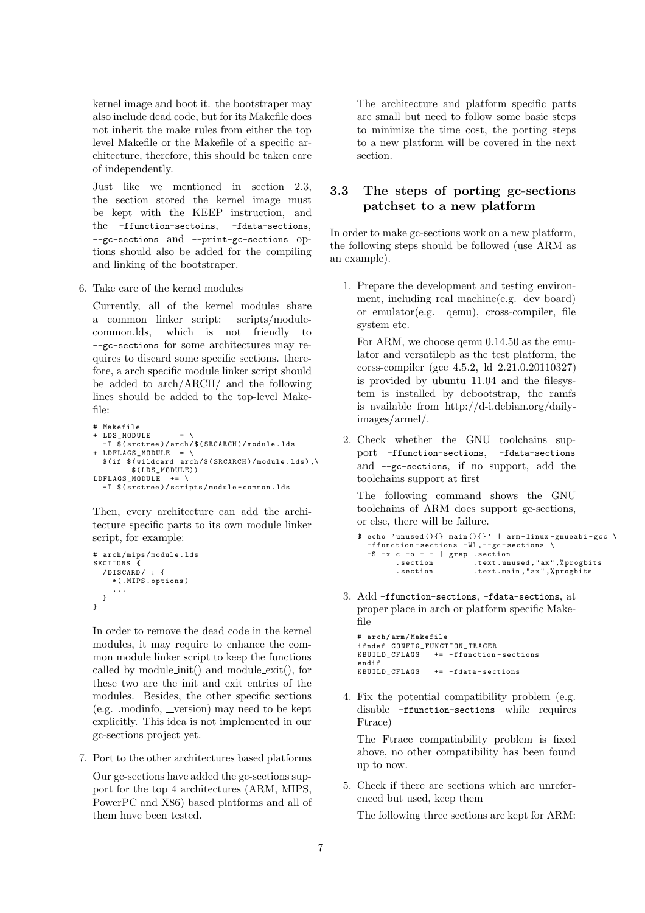kernel image and boot it. the bootstraper may also include dead code, but for its Makefile does not inherit the make rules from either the top level Makefile or the Makefile of a specific architecture, therefore, this should be taken care of independently.

Just like we mentioned in section 2.3, the section stored the kernel image must be kept with the KEEP instruction, and the -ffunction-sectoins, -fdata-sections, --gc-sections and --print-gc-sections options should also be added for the compiling and linking of the bootstraper.

6. Take care of the kernel modules

Currently, all of the kernel modules share a common linker script: scripts/modulecommon.lds, which is not friendly to --gc-sections for some architectures may requires to discard some specific sections. therefore, a arch specific module linker script should be added to arch/ARCH/ and the following lines should be added to the top-level Makefile:

```
# Makefile
+ LDS_MODULE
  -T $( srctree )/ arch /$( SRCARCH )/ module . lds
+ LDFLAGS_MODULE = \
  $( if $( wildcard arch /$( SRCARCH )/ module . lds ) ,\
         $( LDS_MODULE))
LDFLAGS MODULE += \n\lambda-T $( srctree )/ scripts / module - common . lds
```
Then, every architecture can add the architecture specific parts to its own module linker script, for example:

```
# arch/mips/module.lds
SECTIONS {
  / DISCARD / : {
    *(. MIPS . options )
     ...
  }
}
```
In order to remove the dead code in the kernel modules, it may require to enhance the common module linker script to keep the functions called by module init() and module exit(), for these two are the init and exit entries of the modules. Besides, the other specific sections  $(e.g. \text{.} \text{modinfo. } \text{\_} \text{version})$  may need to be kept explicitly. This idea is not implemented in our gc-sections project yet.

7. Port to the other architectures based platforms

Our gc-sections have added the gc-sections support for the top 4 architectures (ARM, MIPS, PowerPC and X86) based platforms and all of them have been tested.

The architecture and platform specific parts are small but need to follow some basic steps to minimize the time cost, the porting steps to a new platform will be covered in the next section.

### 3.3 The steps of porting gc-sections patchset to a new platform

In order to make gc-sections work on a new platform, the following steps should be followed (use ARM as an example).

1. Prepare the development and testing environment, including real machine(e.g. dev board) or emulator(e.g. qemu), cross-compiler, file system etc.

For ARM, we choose qemu 0.14.50 as the emulator and versatilepb as the test platform, the corss-compiler (gcc 4.5.2, ld 2.21.0.20110327) is provided by ubuntu 11.04 and the filesystem is installed by debootstrap, the ramfs is available from http://d-i.debian.org/dailyimages/armel/.

2. Check whether the GNU toolchains support -ffunction-sections, -fdata-sections and --gc-sections, if no support, add the toolchains support at first

The following command shows the GNU toolchains of ARM does support gc-sections, or else, there will be failure.

```
\text{\$ echo 'unused(){} main(){}' | arm-linux-gnueabi-gcc \
  -ffunction-sections -Wl,--gc-sections \
  -S -x c -o - - | grep .section<br>section .text.un
                           . text. unused, "ax", % progbits
         . section . text . main ," ax " ,% progbits
```
3. Add -ffunction-sections, -fdata-sections, at proper place in arch or platform specific Makefile

```
# arch / arm/ Makefile
ifndef CONFIG_FUNCTION_TRACER<br>KBUILD_CFLAGS += -ffunction
                     += -ffunction-sections
endif<br>KBUILD CFLAGS
                     += -fdata-sections
```
4. Fix the potential compatibility problem (e.g. disable -ffunction-sections while requires Ftrace)

The Ftrace compatiability problem is fixed above, no other compatibility has been found up to now.

5. Check if there are sections which are unreferenced but used, keep them

The following three sections are kept for ARM: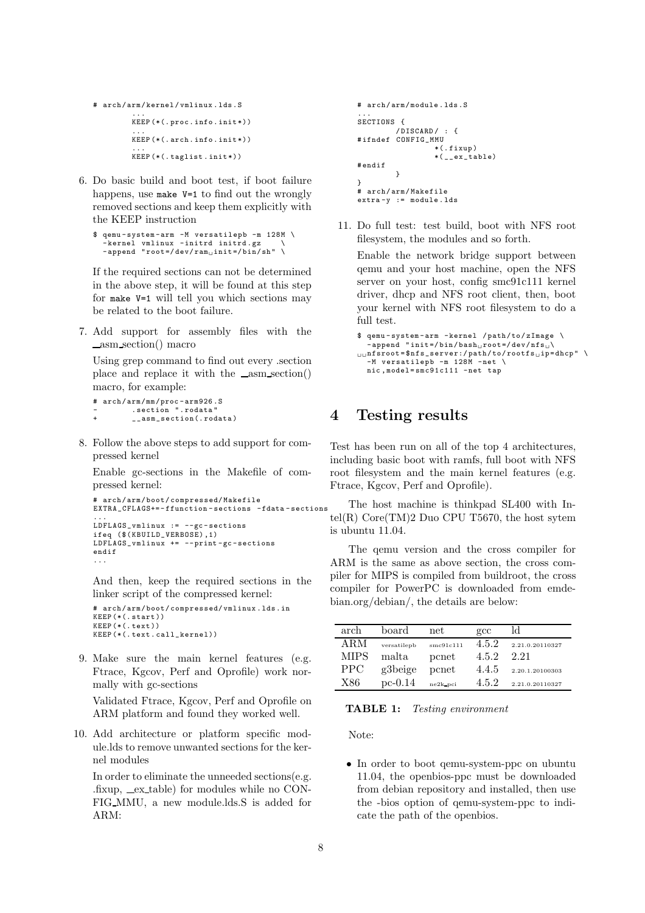- # arch / arm / kernel / vmlinux . lds .S ... KEEP (\*(. proc . info . init \*)) ... KEEP (\*(. arch . info . init \*)) ... KEEP (\*(. taglist . init \*))
- 6. Do basic build and boot test, if boot failure happens, use make V=1 to find out the wrongly removed sections and keep them explicitly with the KEEP instruction

```
$ gemu-system-arm -M versatilepb -m 128M \
   .<br>kernel vmlinux -initrd initrd.gz
  - append "root =/dev/ram<sub>u</sub>init =/bin/sh" \
```
If the required sections can not be determined in the above step, it will be found at this step for make V=1 will tell you which sections may be related to the boot failure.

7. Add support for assembly files with the asm section() macro

Using grep command to find out every .section place and replace it with the  $\text{\_asm}\,\text{section}()$ macro, for example:

```
# arch/arm/mm/proc-arm926.S
         .section ".rodata'
         _{-\alpha}sm_section(.rodata)
```
8. Follow the above steps to add support for compressed kernel

Enable gc-sections in the Makefile of compressed kernel:

```
# arch / arm / boot / compressed/ Makefile
EXTRA_CFLAGS+= - ffunction - sections -fdata - sections
...
LDFLAGS_vmlinux := --gc - sections
ifeq ($ ( KBUILD_VERBOSE) ,1)
LDFLAGS_vmlinux += -- print -gc - sections
endif
...
```
And then, keep the required sections in the linker script of the compressed kernel:

arch/arm/boot/compressed/vmlinux.lds.in KEEP (\*(.start)) KEEP (\*(. text )) KEEP (\*(. text . call\_kernel))

9. Make sure the main kernel features (e.g. Ftrace, Kgcov, Perf and Oprofile) work normally with gc-sections

Validated Ftrace, Kgcov, Perf and Oprofile on ARM platform and found they worked well.

10. Add architecture or platform specific module.lds to remove unwanted sections for the kernel modules

In order to eliminate the unneeded sections(e.g.  $fixup$ ,  $ex$ -table) for modules while no CON-FIG MMU, a new module.lds.S is added for ARM:

```
# arch / arm/ module . lds .S
...
SECTIONS {
             / DISCARD / : {
# ifndef CONFIG_MMU
                          *(. fixup )
                          *(\begin{smallmatrix} - & \mathrm{ex{}} & \mathrm{table} \end{smallmatrix})# endif
             }
}
# arch / arm/ Makefile
extra -y := module . lds
```
11. Do full test: test build, boot with NFS root filesystem, the modules and so forth.

Enable the network bridge support between qemu and your host machine, open the NFS server on your host, config smc91c111 kernel driver, dhcp and NFS root client, then, boot your kernel with NFS root filesystem to do a full test.

```
$ qemu - system - arm - kernel / path / to / zImage \
  - append "init=/bin/bash, root=/dev/nfs
_{\square\square}nfsroot=$nfs_server:/path/to/rootfs_{\square}ip=dhcp" \
  -M versatilepb -m 128M -mnic , model = smc91c111 -net tap
```
### 4 Testing results

Test has been run on all of the top 4 architectures, including basic boot with ramfs, full boot with NFS root filesystem and the main kernel features (e.g. Ftrace, Kgcov, Perf and Oprofile).

The host machine is thinkpad SL400 with Intel(R)  $Core(TM)2$  Duo CPU T5670, the host sytem is ubuntu 11.04.

The qemu version and the cross compiler for ARM is the same as above section, the cross compiler for MIPS is compiled from buildroot, the cross compiler for PowerPC is downloaded from emdebian.org/debian/, the details are below:

| arch       | board       | net       | $\rm gcc$ | ld              |
|------------|-------------|-----------|-----------|-----------------|
| ARM        | versatilepb | smc91c111 | 4.5.2     | 2.21.0.20110327 |
| MIPS       | malta       | pcnet     | 4.5.2     | 2.21            |
| <b>PPC</b> | g3beige     | pcnet     | 4.4.5     | 2.20.1.20100303 |
| X86        | $pc-0.14$   | ne2k pci  | 4.5.2     | 2.21.0.20110327 |

TABLE 1: Testing environment

Note:

• In order to boot qemu-system-ppc on ubuntu 11.04, the openbios-ppc must be downloaded from debian repository and installed, then use the -bios option of qemu-system-ppc to indicate the path of the openbios.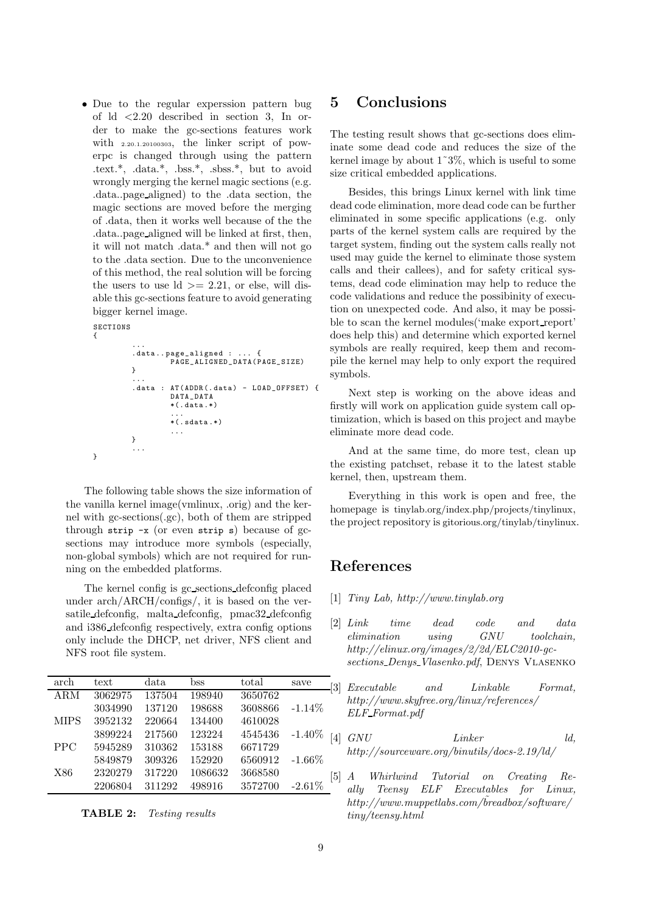• Due to the regular experssion pattern bug of ld <2.20 described in section 3, In order to make the gc-sections features work with 2.20.1.20100303, the linker script of powerpc is changed through using the pattern .text.\*, .data.\*, .bss.\*, .sbss.\*, but to avoid wrongly merging the kernel magic sections (e.g. .data..page aligned) to the .data section, the magic sections are moved before the merging of .data, then it works well because of the the .data..page aligned will be linked at first, then, it will not match .data.\* and then will not go to the .data section. Due to the unconvenience of this method, the real solution will be forcing the users to use  $\mathrm{Id}$   $> = 2.21$ , or else, will disable this gc-sections feature to avoid generating bigger kernel image.

```
SECTIONS
{
```
}

```
...
. data .. page_aligned : ... {
          PAGE_ALIGNED_DATA( PAGE_SIZE)
}
...
. data : AT ( ADDR (. data ) - LOAD_OFFSET) {
          DATA_DATA
          *(. data .*)
          ...
          *(. sdata .*)
          ...
}
...
```
The following table shows the size information of the vanilla kernel image(vmlinux, .orig) and the kernel with gc-sections(.gc), both of them are stripped through strip  $-x$  (or even strip s) because of gcsections may introduce more symbols (especially, non-global symbols) which are not required for running on the embedded platforms.

The kernel config is gc sections defconfig placed under arch/ARCH/configs/, it is based on the versatile defconfig, malta defconfig, pmac32 defconfig and i386 defconfig respectively, extra config options only include the DHCP, net driver, NFS client and NFS root file system.

| arch        | text    | data   | bss     | total   | save      |
|-------------|---------|--------|---------|---------|-----------|
| <b>ARM</b>  | 3062975 | 137504 | 198940  | 3650762 |           |
|             | 3034990 | 137120 | 198688  | 3608866 | $-1.14%$  |
| <b>MIPS</b> | 3952132 | 220664 | 134400  | 4610028 |           |
|             | 3899224 | 217560 | 123224  | 4545436 | $-1.40\%$ |
| <b>PPC</b>  | 5945289 | 310362 | 153188  | 6671729 |           |
|             | 5849879 | 309326 | 152920  | 6560912 | $-1.66\%$ |
| X86         | 2320279 | 317220 | 1086632 | 3668580 |           |
|             | 2206804 | 311292 | 498916  | 3572700 | $-2.61%$  |



### 5 Conclusions

The testing result shows that gc-sections does eliminate some dead code and reduces the size of the kernel image by about  $1^{\circ}3\%$ , which is useful to some size critical embedded applications.

Besides, this brings Linux kernel with link time dead code elimination, more dead code can be further eliminated in some specific applications (e.g. only parts of the kernel system calls are required by the target system, finding out the system calls really not used may guide the kernel to eliminate those system calls and their callees), and for safety critical systems, dead code elimination may help to reduce the code validations and reduce the possibinity of execution on unexpected code. And also, it may be possible to scan the kernel modules('make export report' does help this) and determine which exported kernel symbols are really required, keep them and recompile the kernel may help to only export the required symbols.

Next step is working on the above ideas and firstly will work on application guide system call optimization, which is based on this project and maybe eliminate more dead code.

And at the same time, do more test, clean up the existing patchset, rebase it to the latest stable kernel, then, upstream them.

Everything in this work is open and free, the homepage is tinylab.org/index.php/projects/tinylinux, the project repository is gitorious.org/tinylab/tinylinux.

# References

- [1] Tiny Lab, http://www.tinylab.org
- [2] Link time dead code and data elimination using GNU toolchain, http://elinux.org/images/2/2d/ELC2010-gcsections Denys Vlasenko.pdf, Denys Vlasenko
- [3] Executable and Linkable Format, http://www.skyfree.org/linux/references/ ELF Format.pdf
- [4] GNU Linker ld, http://sourceware.org/binutils/docs-2.19/ld/
- [5] A Whirlwind Tutorial on Creating Really Teensy ELF Executables for Linux,  $http://www.muppetlabs.com/õreadbox/software/$ tiny/teensy.html